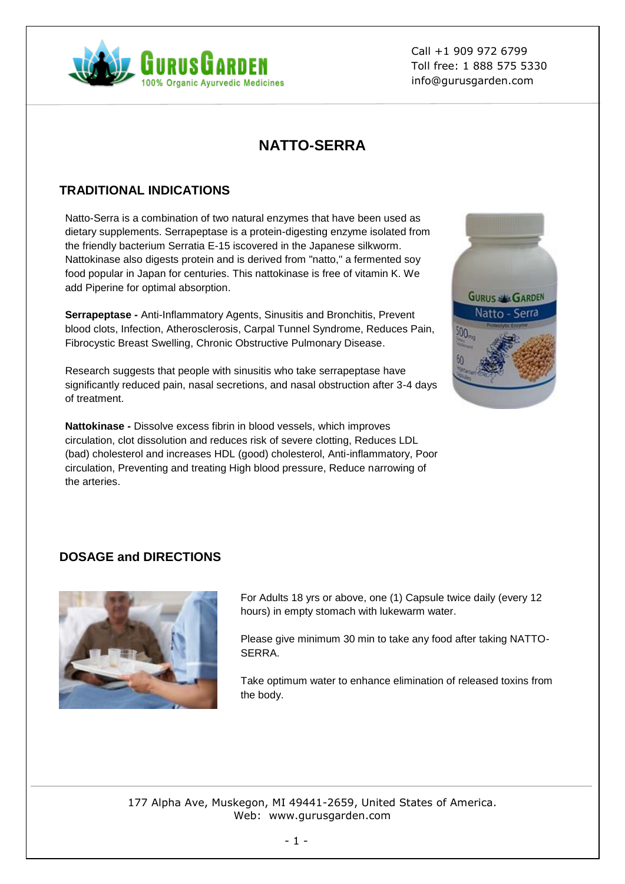

Call +1 909 972 6799 Toll free: 1 888 575 5330 info@gurusgarden.com

# **NATTO-SERRA**

### **TRADITIONAL INDICATIONS**

Natto-Serra is a combination of two natural enzymes that have been used as dietary supplements. Serrapeptase is a protein-digesting enzyme isolated from the friendly bacterium Serratia E-15 iscovered in the Japanese silkworm. Nattokinase also digests protein and is derived from "natto," a fermented soy food popular in Japan for centuries. This nattokinase is free of vitamin K. We add Piperine for optimal absorption.

**Serrapeptase -** Anti-Inflammatory Agents, Sinusitis and Bronchitis, Prevent blood clots, Infection, Atherosclerosis, Carpal Tunnel Syndrome, Reduces Pain, Fibrocystic Breast Swelling, Chronic Obstructive Pulmonary Disease.

Research suggests that people with sinusitis who take serrapeptase have significantly reduced pain, nasal secretions, and nasal obstruction after 3-4 days of treatment.

**Nattokinase -** Dissolve excess fibrin in blood vessels, which improves circulation, clot dissolution and reduces risk of severe clotting, Reduces LDL (bad) cholesterol and increases HDL (good) cholesterol, Anti-inflammatory, Poor circulation, Preventing and treating High blood pressure, Reduce narrowing of the arteries.



## **DOSAGE and DIRECTIONS**



For Adults 18 yrs or above, one (1) Capsule twice daily (every 12 hours) in empty stomach with lukewarm water.

Please give minimum 30 min to take any food after taking NATTO-SERRA.

Take optimum water to enhance elimination of released toxins from the body.

177 Alpha Ave, Muskegon, MI 49441-2659, United States of America. Web: www.gurusgarden.com